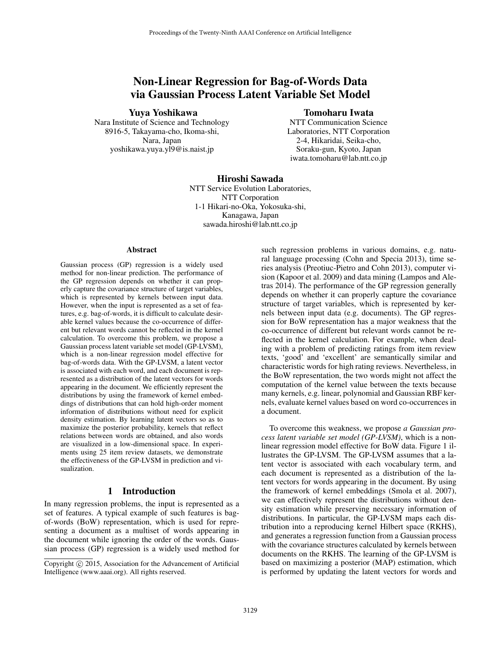# Non-Linear Regression for Bag-of-Words Data via Gaussian Process Latent Variable Set Model

## Yuya Yoshikawa

Nara Institute of Science and Technology 8916-5, Takayama-cho, Ikoma-shi, Nara, Japan yoshikawa.yuya.yl9@is.naist.jp

# Tomoharu Iwata

NTT Communication Science Laboratories, NTT Corporation 2-4, Hikaridai, Seika-cho, Soraku-gun, Kyoto, Japan iwata.tomoharu@lab.ntt.co.jp

### Hiroshi Sawada NTT Service Evolution Laboratories, NTT Corporation 1-1 Hikari-no-Oka, Yokosuka-shi, Kanagawa, Japan sawada.hiroshi@lab.ntt.co.jp

#### Abstract

Gaussian process (GP) regression is a widely used method for non-linear prediction. The performance of the GP regression depends on whether it can properly capture the covariance structure of target variables, which is represented by kernels between input data. However, when the input is represented as a set of features, e.g. bag-of-words, it is difficult to calculate desirable kernel values because the co-occurrence of different but relevant words cannot be reflected in the kernel calculation. To overcome this problem, we propose a Gaussian process latent variable set model (GP-LVSM), which is a non-linear regression model effective for bag-of-words data. With the GP-LVSM, a latent vector is associated with each word, and each document is represented as a distribution of the latent vectors for words appearing in the document. We efficiently represent the distributions by using the framework of kernel embeddings of distributions that can hold high-order moment information of distributions without need for explicit density estimation. By learning latent vectors so as to maximize the posterior probability, kernels that reflect relations between words are obtained, and also words are visualized in a low-dimensional space. In experiments using 25 item review datasets, we demonstrate the effectiveness of the GP-LVSM in prediction and visualization.

# 1 Introduction

In many regression problems, the input is represented as a set of features. A typical example of such features is bagof-words (BoW) representation, which is used for representing a document as a multiset of words appearing in the document while ignoring the order of the words. Gaussian process (GP) regression is a widely used method for such regression problems in various domains, e.g. natural language processing (Cohn and Specia 2013), time series analysis (Preotiuc-Pietro and Cohn 2013), computer vision (Kapoor et al. 2009) and data mining (Lampos and Aletras 2014). The performance of the GP regression generally depends on whether it can properly capture the covariance structure of target variables, which is represented by kernels between input data (e.g. documents). The GP regression for BoW representation has a major weakness that the co-occurrence of different but relevant words cannot be reflected in the kernel calculation. For example, when dealing with a problem of predicting ratings from item review texts, 'good' and 'excellent' are semantically similar and characteristic words for high rating reviews. Nevertheless, in the BoW representation, the two words might not affect the computation of the kernel value between the texts because many kernels, e.g. linear, polynomial and Gaussian RBF kernels, evaluate kernel values based on word co-occurrences in a document.

To overcome this weakness, we propose *a Gaussian process latent variable set model (GP-LVSM)*, which is a nonlinear regression model effective for BoW data. Figure 1 illustrates the GP-LVSM. The GP-LVSM assumes that a latent vector is associated with each vocabulary term, and each document is represented as a distribution of the latent vectors for words appearing in the document. By using the framework of kernel embeddings (Smola et al. 2007), we can effectively represent the distributions without density estimation while preserving necessary information of distributions. In particular, the GP-LVSM maps each distribution into a reproducing kernel Hilbert space (RKHS), and generates a regression function from a Gaussian process with the covariance structures calculated by kernels between documents on the RKHS. The learning of the GP-LVSM is based on maximizing a posterior (MAP) estimation, which is performed by updating the latent vectors for words and

Copyright (c) 2015, Association for the Advancement of Artificial Intelligence (www.aaai.org). All rights reserved.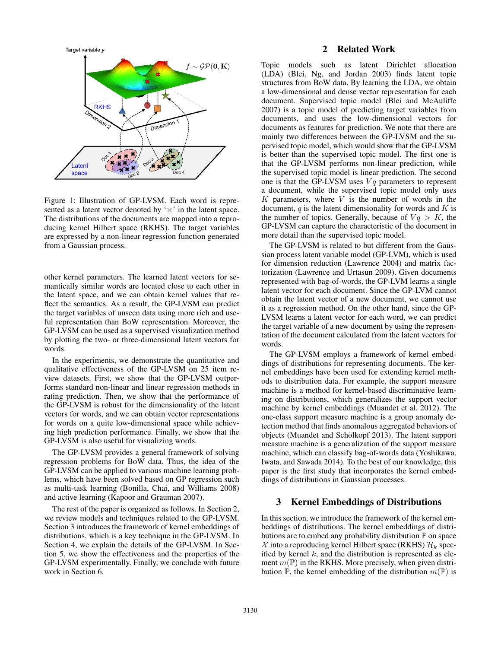

Figure 1: Illustration of GP-LVSM. Each word is represented as a latent vector denoted by  $\forall x$  in the latent space. The distributions of the documents are mapped into a reproducing kernel Hilbert space (RKHS). The target variables are expressed by a non-linear regression function generated from a Gaussian process.

other kernel parameters. The learned latent vectors for semantically similar words are located close to each other in the latent space, and we can obtain kernel values that reflect the semantics. As a result, the GP-LVSM can predict the target variables of unseen data using more rich and useful representation than BoW representation. Moreover, the GP-LVSM can be used as a supervised visualization method by plotting the two- or three-dimensional latent vectors for words.

In the experiments, we demonstrate the quantitative and qualitative effectiveness of the GP-LVSM on 25 item review datasets. First, we show that the GP-LVSM outperforms standard non-linear and linear regression methods in rating prediction. Then, we show that the performance of the GP-LVSM is robust for the dimensionality of the latent vectors for words, and we can obtain vector representations for words on a quite low-dimensional space while achieving high prediction performance. Finally, we show that the GP-LVSM is also useful for visualizing words.

The GP-LVSM provides a general framework of solving regression problems for BoW data. Thus, the idea of the GP-LVSM can be applied to various machine learning problems, which have been solved based on GP regression such as multi-task learning (Bonilla, Chai, and Williams 2008) and active learning (Kapoor and Grauman 2007).

The rest of the paper is organized as follows. In Section 2, we review models and techniques related to the GP-LVSM. Section 3 introduces the framework of kernel embeddings of distributions, which is a key technique in the GP-LVSM. In Section 4, we explain the details of the GP-LVSM. In Section 5, we show the effectiveness and the properties of the GP-LVSM experimentally. Finally, we conclude with future work in Section 6.

## 2 Related Work

Topic models such as latent Dirichlet allocation (LDA) (Blei, Ng, and Jordan 2003) finds latent topic structures from BoW data. By learning the LDA, we obtain a low-dimensional and dense vector representation for each document. Supervised topic model (Blei and McAuliffe 2007) is a topic model of predicting target variables from documents, and uses the low-dimensional vectors for documents as features for prediction. We note that there are mainly two differences between the GP-LVSM and the supervised topic model, which would show that the GP-LVSM is better than the supervised topic model. The first one is that the GP-LVSM performs non-linear prediction, while the supervised topic model is linear prediction. The second one is that the GP-LVSM uses  $Vq$  parameters to represent a document, while the supervised topic model only uses  $K$  parameters, where  $V$  is the number of words in the document,  $q$  is the latent dimensionality for words and  $K$  is the number of topics. Generally, because of  $Vq > K$ , the GP-LVSM can capture the characteristic of the document in more detail than the supervised topic model.

The GP-LVSM is related to but different from the Gaussian process latent variable model (GP-LVM), which is used for dimension reduction (Lawrence 2004) and matrix factorization (Lawrence and Urtasun 2009). Given documents represented with bag-of-words, the GP-LVM learns a single latent vector for each document. Since the GP-LVM cannot obtain the latent vector of a new document, we cannot use it as a regression method. On the other hand, since the GP-LVSM learns a latent vector for each word, we can predict the target variable of a new document by using the representation of the document calculated from the latent vectors for words.

The GP-LVSM employs a framework of kernel embeddings of distributions for representing documents. The kernel embeddings have been used for extending kernel methods to distribution data. For example, the support measure machine is a method for kernel-based discriminative learning on distributions, which generalizes the support vector machine by kernel embeddings (Muandet et al. 2012). The one-class support measure machine is a group anomaly detection method that finds anomalous aggregated behaviors of objects (Muandet and Schölkopf 2013). The latent support measure machine is a generalization of the support measure machine, which can classify bag-of-words data (Yoshikawa, Iwata, and Sawada 2014). To the best of our knowledge, this paper is the first study that incorporates the kernel embeddings of distributions in Gaussian processes.

### 3 Kernel Embeddings of Distributions

In this section, we introduce the framework of the kernel embeddings of distributions. The kernel embeddings of distributions are to embed any probability distribution  $P$  on space  $\mathcal X$  into a reproducing kernel Hilbert space (RKHS)  $\mathcal H_k$  specified by kernel  $k$ , and the distribution is represented as element  $m(\mathbb{P})$  in the RKHS. More precisely, when given distribution  $\mathbb{P}$ , the kernel embedding of the distribution  $m(\mathbb{P})$  is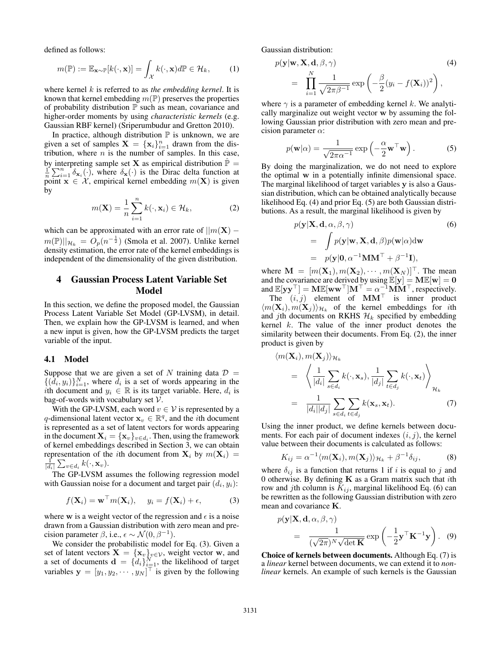defined as follows:

$$
m(\mathbb{P}) := \mathbb{E}_{\mathbf{x} \sim \mathbb{P}}[k(\cdot, \mathbf{x})] = \int_{\mathcal{X}} k(\cdot, \mathbf{x}) d\mathbb{P} \in \mathcal{H}_k, \qquad (1)
$$

where kernel k is referred to as *the embedding kernel*. It is known that kernel embedding  $m(\mathbb{P})$  preserves the properties of probability distribution  $\mathbb P$  such as mean, covariance and higher-order moments by using *characteristic kernels* (e.g. Gaussian RBF kernel) (Sriperumbudur and Gretton 2010).

In practice, although distribution  $P$  is unknown, we are given a set of samples  $X = \{x_i\}_{i=1}^n$  drawn from the distribution, where  $n$  is the number of samples. In this case, by interpreting sample set **X** as empirical distribution  $\hat{P}$  =  $\frac{1}{n}\sum_{i=1}^{n} \delta_{\mathbf{x}_i}(\cdot)$ , where  $\delta_{\mathbf{x}}(\cdot)$  is the Dirac delta function at point  $x \in \mathcal{X}$ , empirical kernel embedding  $m(X)$  is given by

$$
m(\mathbf{X}) = \frac{1}{n} \sum_{i=1}^{n} k(\cdot, \mathbf{x}_i) \in \mathcal{H}_k,
$$
 (2)

which can be approximated with an error rate of  $||m(\mathbf{X})$  $m(\mathbb{P})||_{\mathcal{H}_k} = O_p(n^{-\frac{1}{2}})$  (Smola et al. 2007). Unlike kernel density estimation, the error rate of the kernel embeddings is independent of the dimensionality of the given distribution.

# 4 Gaussian Process Latent Variable Set Model

In this section, we define the proposed model, the Gaussian Process Latent Variable Set Model (GP-LVSM), in detail. Then, we explain how the GP-LVSM is learned, and when a new input is given, how the GP-LVSM predicts the target variable of the input.

#### 4.1 Model

Suppose that we are given a set of N training data  $\mathcal{D} =$  $\{(\tilde{d}_i, y_i)\}_{i=1}^N$ , where  $\tilde{d}_i$  is a set of words appearing in the ith document and  $y_i \in \mathbb{R}$  is its target variable. Here,  $d_i$  is bag-of-words with vocabulary set  $V$ .

With the GP-LVSM, each word  $v \in V$  is represented by a q-dimensional latent vector  $\mathbf{x}_v \in \mathbb{R}^q$ , and the *i*th document is represented as a set of latent vectors for words appearing in the document  $\mathbf{X}_i = {\mathbf{x}_v}_{v \in d_i}$ . Then, using the framework of kernel embeddings described in Section 3, we can obtain representation of the *i*th document from  $X_i$  by  $m(X_i)$  =  $\frac{1}{|d_i|}\sum_{v\in d_i} k(\cdot, \mathbf{x}_v).$ 

The GP-LVSM assumes the following regression model with Gaussian noise for a document and target pair  $(d_i, y_i)$ :

$$
f(\mathbf{X}_i) = \mathbf{w}^\top m(\mathbf{X}_i), \quad y_i = f(\mathbf{X}_i) + \epsilon,
$$
 (3)

where w is a weight vector of the regression and  $\epsilon$  is a noise drawn from a Gaussian distribution with zero mean and precision parameter  $\beta$ , i.e.,  $\epsilon \sim \mathcal{N}(0, \beta^{-1})$ .

We consider the probabilistic model for Eq. (3). Given a set of latent vectors  $X = \{x_v\}_{v \in \mathcal{V}}$ , weight vector w, and a set of documents  $\mathbf{d} = \{d_i\}_{i=1}^N$ , the likelihood of target variables  $y = [y_1, y_2, \dots, y_N]^\top$  is given by the following

Gaussian distribution:

$$
p(\mathbf{y}|\mathbf{w}, \mathbf{X}, \mathbf{d}, \beta, \gamma) \tag{4}
$$
  
= 
$$
\prod_{i=1}^{N} \frac{1}{\sqrt{2\pi\beta^{-1}}} \exp\left(-\frac{\beta}{2}(y_i - f(\mathbf{X}_i))^2\right),
$$

where  $\gamma$  is a parameter of embedding kernel k. We analytically marginalize out weight vector w by assuming the following Gaussian prior distribution with zero mean and precision parameter  $\alpha$ :

$$
p(\mathbf{w}|\alpha) = \frac{1}{\sqrt{2\pi\alpha^{-1}}} \exp\left(-\frac{\alpha}{2}\mathbf{w}^\top \mathbf{w}\right).
$$
 (5)

By doing the marginalization, we do not need to explore the optimal w in a potentially infinite dimensional space. The marginal likelihood of target variables y is also a Gaussian distribution, which can be obtained analytically because likelihood Eq. (4) and prior Eq. (5) are both Gaussian distributions. As a result, the marginal likelihood is given by

$$
p(\mathbf{y}|\mathbf{X}, \mathbf{d}, \alpha, \beta, \gamma)
$$
\n
$$
= \int p(\mathbf{y}|\mathbf{w}, \mathbf{X}, \mathbf{d}, \beta) p(\mathbf{w}|\alpha) d\mathbf{w}
$$
\n
$$
= p(\mathbf{y}|\mathbf{0}, \alpha^{-1}\mathbf{M}\mathbf{M}^{\top} + \beta^{-1}\mathbf{I}),
$$
\n(6)

where  $\mathbf{M} = [m(\mathbf{X}_1), m(\mathbf{X}_2), \cdots, m(\mathbf{X}_N)]^\top$ . The mean and the covariance are derived by using  $\mathbb{E}[y] = ME[w] = 0$ and  $\mathbb{E}[\mathbf{y}\mathbf{y}^\top] = \mathbf{M}\mathbb{E}[\mathbf{w}\mathbf{w}^\top]\mathbf{M}^\top = \alpha^{-1}\mathbf{M}\mathbf{M}^\top$ , respectively. The  $(i, j)$  element of MM<sup>T</sup> is inner product  $\langle m(\mathbf{X}_i), m(\mathbf{X}_j) \rangle_{\mathcal{H}_k}$  of the kernel embeddings for *i*th and jth documents on RKHS  $\mathcal{H}_k$  specified by embedding kernel  $k$ . The value of the inner product denotes the similarity between their documents. From Eq. (2), the inner product is given by

$$
\langle m(\mathbf{X}_i), m(\mathbf{X}_j) \rangle_{\mathcal{H}_k}
$$
\n
$$
= \left\langle \frac{1}{|d_i|} \sum_{s \in d_i} k(\cdot, \mathbf{x}_s), \frac{1}{|d_j|} \sum_{t \in d_j} k(\cdot, \mathbf{x}_t) \right\rangle_{\mathcal{H}_k}
$$
\n
$$
= \frac{1}{|d_i||d_j|} \sum_{s \in d_i} \sum_{t \in d_j} k(\mathbf{x}_s, \mathbf{x}_t). \tag{7}
$$

Using the inner product, we define kernels between documents. For each pair of document indexes  $(i, j)$ , the kernel value between their documents is calculated as follows:

$$
K_{ij} = \alpha^{-1} \langle m(\mathbf{X}_i), m(\mathbf{X}_j) \rangle_{\mathcal{H}_k} + \beta^{-1} \delta_{ij},
$$
 (8)

where  $\delta_{ij}$  is a function that returns 1 if i is equal to j and 0 otherwise. By defining  $K$  as a Gram matrix such that *i*th row and jth column is  $K_{ij}$ , marginal likelihood Eq. (6) can be rewritten as the following Gaussian distribution with zero mean and covariance K.

$$
p(\mathbf{y}|\mathbf{X}, \mathbf{d}, \alpha, \beta, \gamma) = \frac{1}{(\sqrt{2\pi})^N \sqrt{\det \mathbf{K}}} \exp\left(-\frac{1}{2} \mathbf{y}^\top \mathbf{K}^{-1} \mathbf{y}\right). \quad (9)
$$

Choice of kernels between documents. Although Eq. (7) is a *linear* kernel between documents, we can extend it to *nonlinear* kernels. An example of such kernels is the Gaussian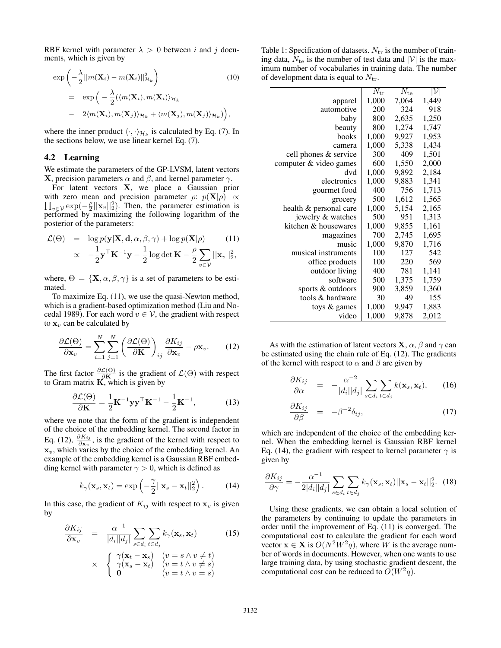RBF kernel with parameter  $\lambda > 0$  between i and j documents, which is given by

$$
\exp\left(-\frac{\lambda}{2}||m(\mathbf{X}_i) - m(\mathbf{X}_i)||_{\mathcal{H}_k}^2\right) \qquad (10)
$$
  
= 
$$
\exp\left(-\frac{\lambda}{2}(\langle m(\mathbf{X}_i), m(\mathbf{X}_i)\rangle_{\mathcal{H}_k}\right)
$$
  
- 
$$
2\langle m(\mathbf{X}_i), m(\mathbf{X}_j)\rangle_{\mathcal{H}_k} + \langle m(\mathbf{X}_j), m(\mathbf{X}_j)\rangle_{\mathcal{H}_k}\right),
$$

where the inner product  $\langle \cdot, \cdot \rangle_{\mathcal{H}_k}$  is calculated by Eq. (7). In the sections below, we use linear kernel Eq. (7).

#### 4.2 Learning

We estimate the parameters of the GP-LVSM, latent vectors **X**, precision parameters  $\alpha$  and  $\beta$ , and kernel parameter  $\gamma$ .

For latent vectors X, we place a Gaussian prior  $\prod_{v \in V} \exp(-\frac{\rho}{2} ||\mathbf{x}_v||_2^2)$ . Then, the parameter estimation is with zero mean and precision parameter  $\rho$ :  $p(\mathbf{X}|\rho) \propto$ performed by maximizing the following logarithm of the posterior of the parameters:

$$
\mathcal{L}(\Theta) = \log p(\mathbf{y}|\mathbf{X}, \mathbf{d}, \alpha, \beta, \gamma) + \log p(\mathbf{X}|\rho)
$$
 (11)

$$
\propto -\frac{1}{2} \mathbf{y}^\top \mathbf{K}^{-1} \mathbf{y} - \frac{1}{2} \log \det \mathbf{K} - \frac{\rho}{2} \sum_{v \in \mathcal{V}} ||\mathbf{x}_v||_2^2,
$$

where,  $\Theta = {\{\mathbf{X}, \alpha, \beta, \gamma\}}$  is a set of parameters to be estimated.

To maximize Eq. (11), we use the quasi-Newton method, which is a gradient-based optimization method (Liu and Nocedal 1989). For each word  $v \in V$ , the gradient with respect to  $x<sub>v</sub>$  can be calculated by

$$
\frac{\partial \mathcal{L}(\Theta)}{\partial \mathbf{x}_v} = \sum_{i=1}^N \sum_{j=1}^N \left( \frac{\partial \mathcal{L}(\Theta)}{\partial \mathbf{K}} \right)_{ij} \frac{\partial K_{ij}}{\partial \mathbf{x}_v} - \rho \mathbf{x}_v. \tag{12}
$$

The first factor  $\frac{\partial \mathcal{L}(\Theta)}{\partial \mathbf{K}}$  is the gradient of  $\mathcal{L}(\Theta)$  with respect to Gram matrix  $\widetilde{K}$ , which is given by

$$
\frac{\partial \mathcal{L}(\Theta)}{\partial \mathbf{K}} = \frac{1}{2} \mathbf{K}^{-1} \mathbf{y} \mathbf{y}^{\top} \mathbf{K}^{-1} - \frac{1}{2} \mathbf{K}^{-1},\tag{13}
$$

where we note that the form of the gradient is independent of the choice of the embedding kernel. The second factor in Eq. (12),  $\frac{\partial K_{ij}}{\partial \mathbf{x}_v}$ , is the gradient of the kernel with respect to  $x_v$ , which varies by the choice of the embedding kernel. An example of the embedding kernel is a Gaussian RBF embedding kernel with parameter  $\gamma > 0$ , which is defined as

$$
k_{\gamma}(\mathbf{x}_s, \mathbf{x}_t) = \exp\left(-\frac{\gamma}{2}||\mathbf{x}_s - \mathbf{x}_t||_2^2\right).
$$
 (14)

In this case, the gradient of  $K_{ij}$  with respect to  $x_v$  is given by

$$
\frac{\partial K_{ij}}{\partial \mathbf{x}_v} = \frac{\alpha^{-1}}{|d_i||d_j|} \sum_{s \in d_i} \sum_{t \in d_j} k_{\gamma}(\mathbf{x}_s, \mathbf{x}_t)
$$
(15)  
 
$$
\times \begin{cases} \gamma(\mathbf{x}_t - \mathbf{x}_s) & (v = s \land v \neq t) \\ \gamma(\mathbf{x}_s - \mathbf{x}_t) & (v = t \land v \neq s) \\ \mathbf{0} & (v = t \land v = s) \end{cases}
$$

Table 1: Specification of datasets.  $N_{tr}$  is the number of training data,  $N_{te}$  is the number of test data and |V| is the maximum number of vocabularies in training data. The number of development data is equal to  $N_{\text{tr}}$ .

|                        | $\rm \overline{N_{tr}}$ | $\overline{N}_{\rm te}$ | $\bar{\mathcal{V}}$ |
|------------------------|-------------------------|-------------------------|---------------------|
| apparel                | 1,000                   | 7,064                   | 1,449               |
| automotive             | 200                     | 324                     | 918                 |
| baby                   | 800                     | 2,635                   | 1,250               |
| beauty                 | 800                     | 1,274                   | 1,747               |
| books                  | 1,000                   | 9,927                   | 1,953               |
| camera                 | 1,000                   | 5,338                   | 1,434               |
| cell phones & service  | 300                     | 409                     | 1,501               |
| computer & video games | 600                     | 1,550                   | 2,000               |
| dvd                    | 1,000                   | 9,892                   | 2,184               |
| electronics            | 1,000                   | 9,883                   | 1,341               |
| gourmet food           | 400                     | 756                     | 1,713               |
| grocery                | 500                     | 1,612                   | 1,565               |
| health & personal care | 1,000                   | 5,154                   | 2,165               |
| jewelry & watches      | 500                     | 951                     | 1,313               |
| kitchen & housewares   | 1,000                   | 9,855                   | 1,161               |
| magazines              | 700                     | 2,745                   | 1,695               |
| music                  | 1,000                   | 9,870                   | 1,716               |
| musical instruments    | 100                     | 127                     | 542                 |
| office products        | 100                     | 220                     | 569                 |
| outdoor living         | 400                     | 781                     | 1,141               |
| software               | 500                     | 1,375                   | 1,759               |
| sports & outdoors      | 900                     | 3,859                   | 1,360               |
| tools & hardware       | 30                      | 49                      | 155                 |
| toys & games           | 1,000                   | 9,947                   | 1,883               |
| video                  | 1,000                   | 9,878                   | 2,012               |

As with the estimation of latent vectors **X**,  $\alpha$ ,  $\beta$  and  $\gamma$  can be estimated using the chain rule of Eq. (12). The gradients of the kernel with respect to  $\alpha$  and  $\beta$  are given by

$$
\frac{\partial K_{ij}}{\partial \alpha} = -\frac{\alpha^{-2}}{|d_i||d_j|} \sum_{s \in d_i} \sum_{t \in d_j} k(\mathbf{x}_s, \mathbf{x}_t), \qquad (16)
$$

$$
\frac{\partial K_{ij}}{\partial \beta} = -\beta^{-2} \delta_{ij}, \qquad (17)
$$

which are independent of the choice of the embedding kernel. When the embedding kernel is Gaussian RBF kernel Eq. (14), the gradient with respect to kernel parameter  $\gamma$  is given by

$$
\frac{\partial K_{ij}}{\partial \gamma} = -\frac{\alpha^{-1}}{2|d_i||d_j|} \sum_{s \in d_i} \sum_{t \in d_j} k_{\gamma}(\mathbf{x}_s, \mathbf{x}_t) ||\mathbf{x}_s - \mathbf{x}_t||_2^2.
$$
 (18)

Using these gradients, we can obtain a local solution of the parameters by continuing to update the parameters in order until the improvement of Eq. (11) is converged. The computational cost to calculate the gradient for each word vector  $\mathbf{x} \in \mathbf{X}$  is  $O(N^2W^2q)$ , where W is the average number of words in documents. However, when one wants to use large training data, by using stochastic gradient descent, the computational cost can be reduced to  $O(W^2q)$ .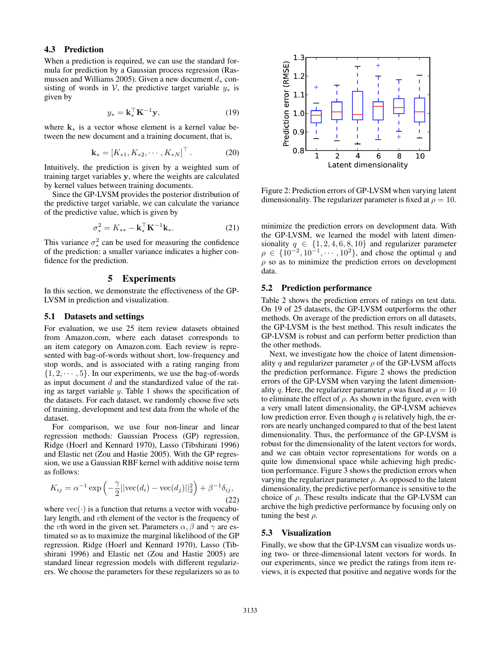## 4.3 Prediction

When a prediction is required, we can use the standard formula for prediction by a Gaussian process regression (Rasmussen and Williams 2005). Given a new document  $d_*$  consisting of words in V, the predictive target variable  $y_*$  is given by

$$
y_* = \mathbf{k}_*^{\top} \mathbf{K}^{-1} \mathbf{y},\tag{19}
$$

where  $k_*$  is a vector whose element is a kernel value between the new document and a training document, that is,

$$
\mathbf{k}_{*} = [K_{*1}, K_{*2}, \cdots, K_{*N}]^{\top}.
$$
 (20)

Intuitively, the prediction is given by a weighted sum of training target variables y, where the weights are calculated by kernel values between training documents.

Since the GP-LVSM provides the posterior distribution of the predictive target variable, we can calculate the variance of the predictive value, which is given by

$$
\sigma_*^2 = K_{**} - \mathbf{k}_*^{\top} \mathbf{K}^{-1} \mathbf{k}_*.
$$
 (21)

This variance  $\sigma_*^2$  can be used for measuring the confidence of the prediction: a smaller variance indicates a higher confidence for the prediction.

### 5 Experiments

In this section, we demonstrate the effectiveness of the GP-LVSM in prediction and visualization.

#### 5.1 Datasets and settings

For evaluation, we use 25 item review datasets obtained from Amazon.com, where each dataset corresponds to an item category on Amazon.com. Each review is represented with bag-of-words without short, low-frequency and stop words, and is associated with a rating ranging from  $\{1, 2, \dots, 5\}$ . In our experiments, we use the bag-of-words as input document d and the standardized value of the rating as target variable y. Table 1 shows the specification of the datasets. For each dataset, we randomly choose five sets of training, development and test data from the whole of the dataset.

For comparison, we use four non-linear and linear regression methods: Gaussian Process (GP) regression, Ridge (Hoerl and Kennard 1970), Lasso (Tibshirani 1996) and Elastic net (Zou and Hastie 2005). With the GP regression, we use a Gaussian RBF kernel with additive noise term as follows:

$$
K_{ij} = \alpha^{-1} \exp\left(-\frac{\gamma}{2}||\text{vec}(d_i) - \text{vec}(d_j)||_2^2\right) + \beta^{-1}\delta_{ij},\tag{22}
$$

where  $\text{vec}(\cdot)$  is a function that returns a vector with vocabulary length, and vth element of the vector is the frequency of the vth word in the given set. Parameters  $\alpha$ ,  $\beta$  and  $\gamma$  are estimated so as to maximize the marginal likelihood of the GP regression. Ridge (Hoerl and Kennard 1970), Lasso (Tibshirani 1996) and Elastic net (Zou and Hastie 2005) are standard linear regression models with different regularizers. We choose the parameters for these regularizers so as to



Figure 2: Prediction errors of GP-LVSM when varying latent dimensionality. The regularizer parameter is fixed at  $\rho = 10$ .

minimize the prediction errors on development data. With the GP-LVSM, we learned the model with latent dimensionality  $q \in \{1, 2, 4, 6, 8, 10\}$  and regularizer parameter  $\rho \in \{10^{-2}, 10^{-1}, \cdots, 10^{2}\},$  and chose the optimal q and  $\rho$  so as to minimize the prediction errors on development data.

### 5.2 Prediction performance

Table 2 shows the prediction errors of ratings on test data. On 19 of 25 datasets, the GP-LVSM outperforms the other methods. On average of the prediction errors on all datasets, the GP-LVSM is the best method. This result indicates the GP-LVSM is robust and can perform better prediction than the other methods.

Next, we investigate how the choice of latent dimensionality q and regularizer parameter  $\rho$  of the GP-LVSM affects the prediction performance. Figure 2 shows the prediction errors of the GP-LVSM when varying the latent dimensionality q. Here, the regularizer parameter  $\rho$  was fixed at  $\rho = 10$ to eliminate the effect of  $\rho$ . As shown in the figure, even with a very small latent dimensionality, the GP-LVSM achieves low prediction error. Even though  $q$  is relatively high, the errors are nearly unchanged compared to that of the best latent dimensionality. Thus, the performance of the GP-LVSM is robust for the dimensionality of the latent vectors for words, and we can obtain vector representations for words on a quite low dimensional space while achieving high prediction performance. Figure 3 shows the prediction errors when varying the regularizer parameter  $\rho$ . As opposed to the latent dimensionality, the predictive performance is sensitive to the choice of  $\rho$ . These results indicate that the GP-LVSM can archive the high predictive performance by focusing only on tuning the best  $\rho$ .

#### 5.3 Visualization

Finally, we show that the GP-LVSM can visualize words using two- or three-dimensional latent vectors for words. In our experiments, since we predict the ratings from item reviews, it is expected that positive and negative words for the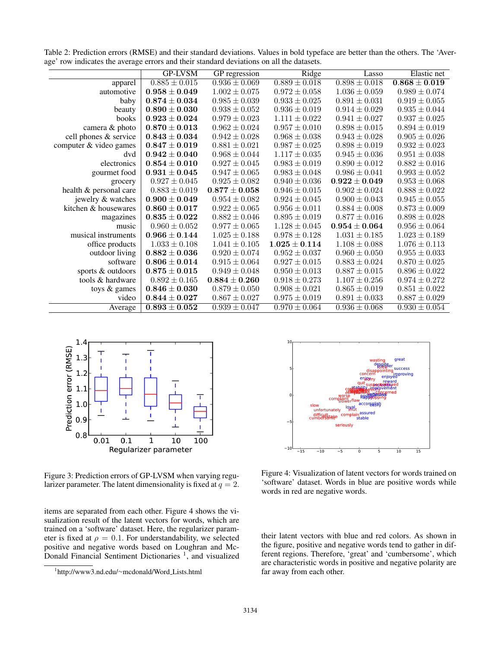|                        | <b>GP-LVSM</b>                      | GP regression     | Ridge             | Lasso             | Elastic net       |
|------------------------|-------------------------------------|-------------------|-------------------|-------------------|-------------------|
| apparel                | $0.885 \pm 0.015$                   | $0.936 \pm 0.069$ | $0.889 \pm 0.018$ | $0.898 \pm 0.018$ | $0.868 \pm 0.019$ |
| automotive             | $0.958 \pm 0.049$                   | $1.002 \pm 0.075$ | $0.972 \pm 0.058$ | $1.036 \pm 0.059$ | $0.989 \pm 0.074$ |
| baby                   | $0.874 \pm 0.034$                   | $0.985 \pm 0.039$ | $0.933 \pm 0.025$ | $0.891 \pm 0.031$ | $0.919 \pm 0.055$ |
| beauty                 | $0.890\pm0.030$                     | $0.938 \pm 0.052$ | $0.936 \pm 0.019$ | $0.914 \pm 0.029$ | $0.935 \pm 0.044$ |
| books                  | $0.923 \pm 0.024$                   | $0.979 \pm 0.023$ | $1.111 \pm 0.022$ | $0.941 \pm 0.027$ | $0.937 \pm 0.025$ |
| camera & photo         | $0.870 \pm 0.013$                   | $0.962 \pm 0.024$ | $0.957 \pm 0.010$ | $0.898 \pm 0.015$ | $0.894 \pm 0.019$ |
| cell phones & service  | $0.843 \pm 0.034$                   | $0.942 \pm 0.028$ | $0.968 \pm 0.038$ | $0.943 \pm 0.028$ | $0.905 \pm 0.026$ |
| computer & video games | $\textbf{0.847} \pm \textbf{0.019}$ | $0.881 \pm 0.021$ | $0.987 \pm 0.025$ | $0.898 \pm 0.019$ | $0.932 \pm 0.023$ |
| dvd                    | $0.942 \pm 0.040$                   | $0.968 \pm 0.044$ | $1.117 \pm 0.035$ | $0.945 \pm 0.036$ | $0.951 \pm 0.038$ |
| electronics            | $0.854 \pm 0.010$                   | $0.927 \pm 0.045$ | $0.983 \pm 0.019$ | $0.890 \pm 0.012$ | $0.882 \pm 0.016$ |
| gourmet food           | $0.931 \pm 0.045$                   | $0.947 \pm 0.065$ | $0.983 \pm 0.048$ | $0.986 \pm 0.041$ | $0.993 \pm 0.052$ |
| grocery                | $0.927 \pm 0.045$                   | $0.925 \pm 0.082$ | $0.940 \pm 0.036$ | $0.922 \pm 0.049$ | $0.953 \pm 0.068$ |
| health & personal care | $0.883 \pm 0.019$                   | $0.877\pm0.058$   | $0.946 \pm 0.015$ | $0.902 \pm 0.024$ | $0.888 \pm 0.022$ |
| jewelry & watches      | $0.900 \pm 0.049$                   | $0.954 \pm 0.082$ | $0.924 \pm 0.045$ | $0.900 \pm 0.043$ | $0.945 \pm 0.055$ |
| kitchen & housewares   | $0.860 \pm 0.017$                   | $0.922 \pm 0.065$ | $0.956 \pm 0.011$ | $0.884 \pm 0.008$ | $0.873 \pm 0.009$ |
| magazines              | $\textbf{0.835} \pm \textbf{0.022}$ | $0.882 \pm 0.046$ | $0.895 \pm 0.019$ | $0.877 \pm 0.016$ | $0.898\pm0.028$   |
| music                  | $0.960 \pm 0.052$                   | $0.977 \pm 0.065$ | $1.128 \pm 0.045$ | $0.954 \pm 0.064$ | $0.956 \pm 0.064$ |
| musical instruments    | $0.966 \pm 0.144$                   | $1.025 \pm 0.188$ | $0.978 \pm 0.128$ | $1.031 \pm 0.185$ | $1.023 \pm 0.189$ |
| office products        | $1.033 \pm 0.108$                   | $1.041 \pm 0.105$ | $1.025 \pm 0.114$ | $1.108 \pm 0.088$ | $1.076 \pm 0.113$ |
| outdoor living         | $0.882 \pm 0.036$                   | $0.920 \pm 0.074$ | $0.952 \pm 0.037$ | $0.960 \pm 0.050$ | $0.955 \pm 0.033$ |
| software               | $0.806 \pm 0.014$                   | $0.915 \pm 0.064$ | $0.927 \pm 0.015$ | $0.883 \pm 0.024$ | $0.870 \pm 0.025$ |
| sports & outdoors      | $\textbf{0.875} \pm \textbf{0.015}$ | $0.949 \pm 0.048$ | $0.950 \pm 0.013$ | $0.887 \pm 0.015$ | $0.896 \pm 0.022$ |
| tools & hardware       | $0.892 \pm 0.165$                   | $0.884\pm0.260$   | $0.918 \pm 0.273$ | $1.107 \pm 0.256$ | $0.974 \pm 0.272$ |
| toys & games           | $0.846 \pm 0.030$                   | $0.879 \pm 0.050$ | $0.908 \pm 0.021$ | $0.865 \pm 0.019$ | $0.851 \pm 0.022$ |
| video                  | $0.844\pm0.027$                     | $0.867 \pm 0.027$ | $0.975 \pm 0.019$ | $0.891 \pm 0.033$ | $0.887 \pm 0.029$ |
| Average                | $0.893 \pm 0.052$                   | $0.939 \pm 0.047$ | $0.970 \pm 0.064$ | $0.936 \pm 0.068$ | $0.930 \pm 0.054$ |

Table 2: Prediction errors (RMSE) and their standard deviations. Values in bold typeface are better than the others. The 'Average' row indicates the average errors and their standard deviations on all the datasets.



Figure 3: Prediction errors of GP-LVSM when varying regularizer parameter. The latent dimensionality is fixed at  $q = 2$ .

items are separated from each other. Figure 4 shows the visualization result of the latent vectors for words, which are trained on a 'software' dataset. Here, the regularizer parameter is fixed at  $\rho = 0.1$ . For understandability, we selected positive and negative words based on Loughran and Mc-Donald Financial Sentiment Dictionaries<sup>1</sup>, and visualized



Figure 4: Visualization of latent vectors for words trained on 'software' dataset. Words in blue are positive words while words in red are negative words.

their latent vectors with blue and red colors. As shown in the figure, positive and negative words tend to gather in different regions. Therefore, 'great' and 'cumbersome', which are characteristic words in positive and negative polarity are far away from each other.

<sup>1</sup> http://www3.nd.edu/∼mcdonald/Word Lists.html